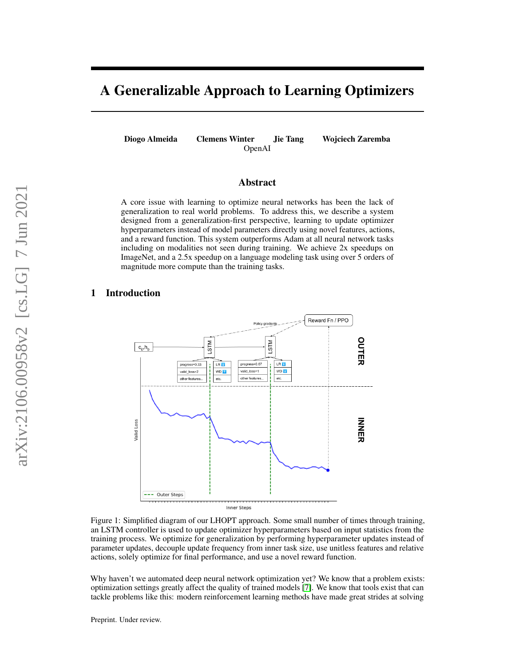# A Generalizable Approach to Learning Optimizers

Diogo Almeida Clemens Winter Jie Tang Wojciech Zaremba OpenAI

### Abstract

A core issue with learning to optimize neural networks has been the lack of generalization to real world problems. To address this, we describe a system designed from a generalization-first perspective, learning to update optimizer hyperparameters instead of model parameters directly using novel features, actions, and a reward function. This system outperforms Adam at all neural network tasks including on modalities not seen during training. We achieve 2x speedups on ImageNet, and a 2.5x speedup on a language modeling task using over 5 orders of magnitude more compute than the training tasks.

### <span id="page-0-0"></span>1 Introduction



Figure 1: Simplified diagram of our LHOPT approach. Some small number of times through training, an LSTM controller is used to update optimizer hyperparameters based on input statistics from the training process. We optimize for generalization by performing hyperparameter updates instead of parameter updates, decouple update frequency from inner task size, use unitless features and relative actions, solely optimize for final performance, and use a novel reward function.

Why haven't we automated deep neural network optimization yet? We know that a problem exists: optimization settings greatly affect the quality of trained models [\[7\]](#page-11-0). We know that tools exist that can tackle problems like this: modern reinforcement learning methods have made great strides at solving

Preprint. Under review.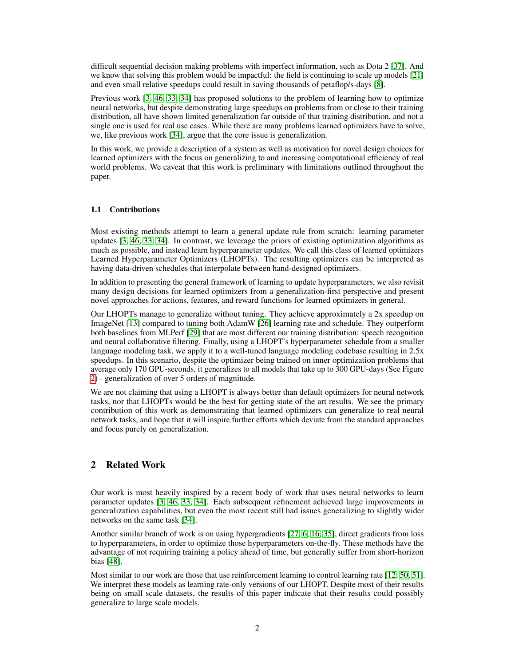difficult sequential decision making problems with imperfect information, such as Dota 2 [\[37\]](#page-13-0). And we know that solving this problem would be impactful: the field is continuing to scale up models [\[21\]](#page-12-0) and even small relative speedups could result in saving thousands of petaflop/s-days [\[8\]](#page-11-1).

Previous work [\[3,](#page-11-2) [46,](#page-13-1) [33,](#page-13-2) [34\]](#page-13-3) has proposed solutions to the problem of learning how to optimize neural networks, but despite demonstrating large speedups on problems from or close to their training distribution, all have shown limited generalization far outside of that training distribution, and not a single one is used for real use cases. While there are many problems learned optimizers have to solve, we, like previous work [\[34\]](#page-13-3), argue that the core issue is generalization.

In this work, we provide a description of a system as well as motivation for novel design choices for learned optimizers with the focus on generalizing to and increasing computational efficiency of real world problems. We caveat that this work is preliminary with limitations outlined throughout the paper.

#### 1.1 Contributions

Most existing methods attempt to learn a general update rule from scratch: learning parameter updates [\[3,](#page-11-2) [46,](#page-13-1) [33,](#page-13-2) [34\]](#page-13-3). In contrast, we leverage the priors of existing optimization algorithms as much as possible, and instead learn hyperparameter updates. We call this class of learned optimizers Learned Hyperparameter Optimizers (LHOPTs). The resulting optimizers can be interpreted as having data-driven schedules that interpolate between hand-designed optimizers.

In addition to presenting the general framework of learning to update hyperparameters, we also revisit many design decisions for learned optimizers from a generalization-first perspective and present novel approaches for actions, features, and reward functions for learned optimizers in general.

Our LHOPTs manage to generalize without tuning. They achieve approximately a 2x speedup on ImageNet [\[13\]](#page-12-1) compared to tuning both AdamW [\[26\]](#page-12-2) learning rate and schedule. They outperform both baselines from MLPerf [\[29\]](#page-13-4) that are most different our training distribution: speech recognition and neural collaborative filtering. Finally, using a LHOPT's hyperparameter schedule from a smaller language modeling task, we apply it to a well-tuned language modeling codebase resulting in 2.5x speedups. In this scenario, despite the optimizer being trained on inner optimization problems that average only 170 GPU-seconds, it generalizes to all models that take up to 300 GPU-days (See Figure [2\)](#page-2-0) - generalization of over 5 orders of magnitude.

We are not claiming that using a LHOPT is always better than default optimizers for neural network tasks, nor that LHOPTs would be the best for getting state of the art results. We see the primary contribution of this work as demonstrating that learned optimizers can generalize to real neural network tasks, and hope that it will inspire further efforts which deviate from the standard approaches and focus purely on generalization.

### 2 Related Work

Our work is most heavily inspired by a recent body of work that uses neural networks to learn parameter updates [\[3,](#page-11-2) [46,](#page-13-1) [33,](#page-13-2) [34\]](#page-13-3). Each subsequent refinement achieved large improvements in generalization capabilities, but even the most recent still had issues generalizing to slightly wider networks on the same task [\[34\]](#page-13-3).

Another similar branch of work is on using hypergradients [\[27,](#page-12-3) [6,](#page-11-3) [16,](#page-12-4) [35\]](#page-13-5), direct gradients from loss to hyperparameters, in order to optimize those hyperparameters on-the-fly. These methods have the advantage of not requiring training a policy ahead of time, but generally suffer from short-horizon bias [\[48\]](#page-13-6).

Most similar to our work are those that use reinforcement learning to control learning rate [\[12,](#page-12-5) [50,](#page-14-0) [51\]](#page-14-1). We interpret these models as learning rate-only versions of our LHOPT. Despite most of their results being on small scale datasets, the results of this paper indicate that their results could possibly generalize to large scale models.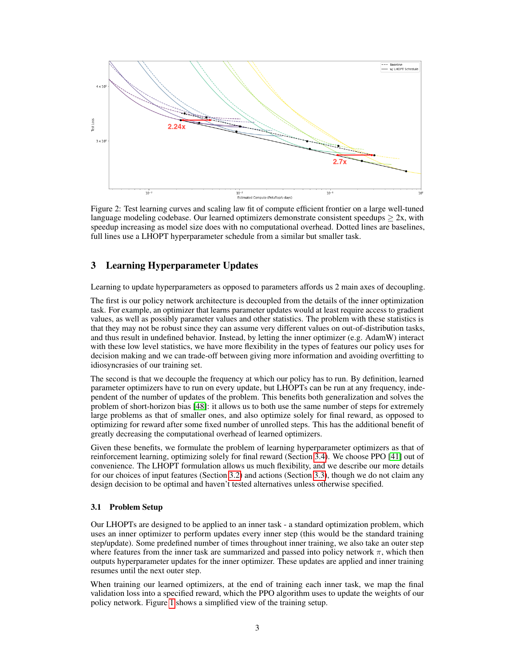<span id="page-2-0"></span>

Figure 2: Test learning curves and scaling law fit of compute efficient frontier on a large well-tuned language modeling codebase. Our learned optimizers demonstrate consistent speedups  $\geq 2x$ , with speedup increasing as model size does with no computational overhead. Dotted lines are baselines, full lines use a LHOPT hyperparameter schedule from a similar but smaller task.

# 3 Learning Hyperparameter Updates

Learning to update hyperparameters as opposed to parameters affords us 2 main axes of decoupling.

The first is our policy network architecture is decoupled from the details of the inner optimization task. For example, an optimizer that learns parameter updates would at least require access to gradient values, as well as possibly parameter values and other statistics. The problem with these statistics is that they may not be robust since they can assume very different values on out-of-distribution tasks, and thus result in undefined behavior. Instead, by letting the inner optimizer (e.g. AdamW) interact with these low level statistics, we have more flexibility in the types of features our policy uses for decision making and we can trade-off between giving more information and avoiding overfitting to idiosyncrasies of our training set.

The second is that we decouple the frequency at which our policy has to run. By definition, learned parameter optimizers have to run on every update, but LHOPTs can be run at any frequency, independent of the number of updates of the problem. This benefits both generalization and solves the problem of short-horizon bias [\[48\]](#page-13-6): it allows us to both use the same number of steps for extremely large problems as that of smaller ones, and also optimize solely for final reward, as opposed to optimizing for reward after some fixed number of unrolled steps. This has the additional benefit of greatly decreasing the computational overhead of learned optimizers.

Given these benefits, we formulate the problem of learning hyperparameter optimizers as that of reinforcement learning, optimizing solely for final reward (Section [3.4\)](#page-4-0). We choose PPO [\[41\]](#page-13-7) out of convenience. The LHOPT formulation allows us much flexibility, and we describe our more details for our choices of input features (Section [3.2\)](#page-3-0) and actions (Section [3.3\)](#page-3-1), though we do not claim any design decision to be optimal and haven't tested alternatives unless otherwise specified.

#### 3.1 Problem Setup

Our LHOPTs are designed to be applied to an inner task - a standard optimization problem, which uses an inner optimizer to perform updates every inner step (this would be the standard training step/update). Some predefined number of times throughout inner training, we also take an outer step where features from the inner task are summarized and passed into policy network  $\pi$ , which then outputs hyperparameter updates for the inner optimizer. These updates are applied and inner training resumes until the next outer step.

When training our learned optimizers, at the end of training each inner task, we map the final validation loss into a specified reward, which the PPO algorithm uses to update the weights of our policy network. Figure [1](#page-0-0) shows a simplified view of the training setup.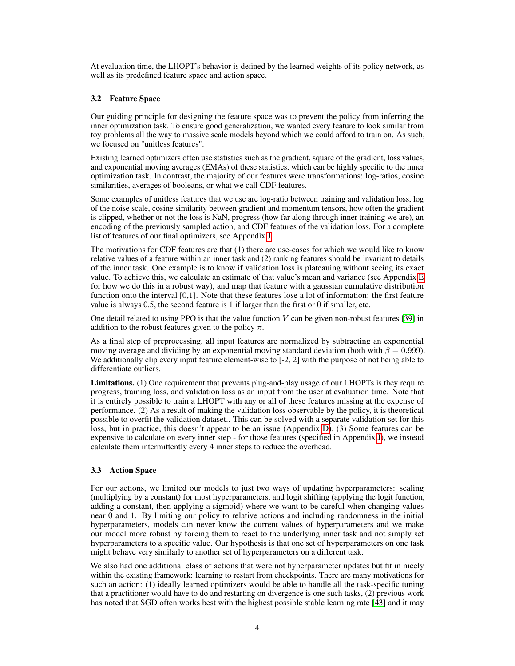At evaluation time, the LHOPT's behavior is defined by the learned weights of its policy network, as well as its predefined feature space and action space.

#### <span id="page-3-0"></span>3.2 Feature Space

Our guiding principle for designing the feature space was to prevent the policy from inferring the inner optimization task. To ensure good generalization, we wanted every feature to look similar from toy problems all the way to massive scale models beyond which we could afford to train on. As such, we focused on "unitless features".

Existing learned optimizers often use statistics such as the gradient, square of the gradient, loss values, and exponential moving averages (EMAs) of these statistics, which can be highly specific to the inner optimization task. In contrast, the majority of our features were transformations: log-ratios, cosine similarities, averages of booleans, or what we call CDF features.

Some examples of unitless features that we use are log-ratio between training and validation loss, log of the noise scale, cosine similarity between gradient and momentum tensors, how often the gradient is clipped, whether or not the loss is NaN, progress (how far along through inner training we are), an encoding of the previously sampled action, and CDF features of the validation loss. For a complete list of features of our final optimizers, see Appendix [J.](#page-19-0)

The motivations for CDF features are that (1) there are use-cases for which we would like to know relative values of a feature within an inner task and (2) ranking features should be invariant to details of the inner task. One example is to know if validation loss is plateauing without seeing its exact value. To achieve this, we calculate an estimate of that value's mean and variance (see Appendix [E](#page-17-0) for how we do this in a robust way), and map that feature with a gaussian cumulative distribution function onto the interval [0,1]. Note that these features lose a lot of information: the first feature value is always 0.5, the second feature is 1 if larger than the first or 0 if smaller, etc.

One detail related to using PPO is that the value function  $V$  can be given non-robust features [\[39\]](#page-13-8) in addition to the robust features given to the policy  $\pi$ .

As a final step of preprocessing, all input features are normalized by subtracting an exponential moving average and dividing by an exponential moving standard deviation (both with  $\beta = 0.999$ ). We additionally clip every input feature element-wise to [-2, 2] with the purpose of not being able to differentiate outliers.

Limitations. (1) One requirement that prevents plug-and-play usage of our LHOPTs is they require progress, training loss, and validation loss as an input from the user at evaluation time. Note that it is entirely possible to train a LHOPT with any or all of these features missing at the expense of performance. (2) As a result of making the validation loss observable by the policy, it is theoretical possible to overfit the validation dataset.. This can be solved with a separate validation set for this loss, but in practice, this doesn't appear to be an issue (Appendix [D\)](#page-16-0). (3) Some features can be expensive to calculate on every inner step - for those features (specified in Appendix [J\)](#page-19-0), we instead calculate them intermittently every 4 inner steps to reduce the overhead.

#### <span id="page-3-1"></span>3.3 Action Space

For our actions, we limited our models to just two ways of updating hyperparameters: scaling (multiplying by a constant) for most hyperparameters, and logit shifting (applying the logit function, adding a constant, then applying a sigmoid) where we want to be careful when changing values near 0 and 1. By limiting our policy to relative actions and including randomness in the initial hyperparameters, models can never know the current values of hyperparameters and we make our model more robust by forcing them to react to the underlying inner task and not simply set hyperparameters to a specific value. Our hypothesis is that one set of hyperparameters on one task might behave very similarly to another set of hyperparameters on a different task.

We also had one additional class of actions that were not hyperparameter updates but fit in nicely within the existing framework: learning to restart from checkpoints. There are many motivations for such an action: (1) ideally learned optimizers would be able to handle all the task-specific tuning that a practitioner would have to do and restarting on divergence is one such tasks, (2) previous work has noted that SGD often works best with the highest possible stable learning rate [\[43\]](#page-13-9) and it may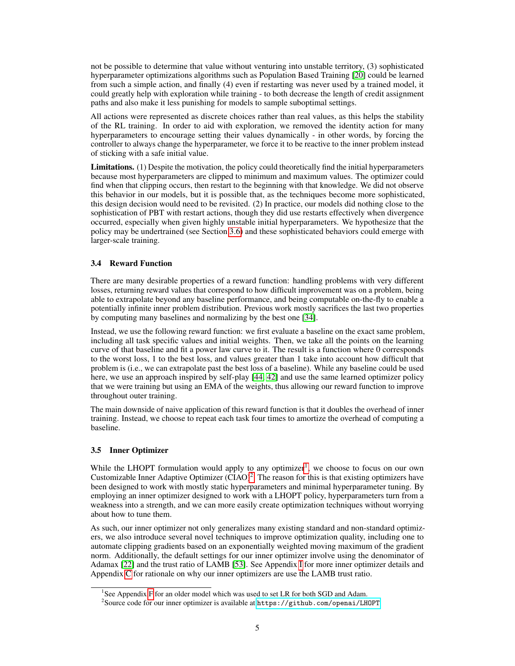not be possible to determine that value without venturing into unstable territory, (3) sophisticated hyperparameter optimizations algorithms such as Population Based Training [\[20\]](#page-12-6) could be learned from such a simple action, and finally (4) even if restarting was never used by a trained model, it could greatly help with exploration while training - to both decrease the length of credit assignment paths and also make it less punishing for models to sample suboptimal settings.

All actions were represented as discrete choices rather than real values, as this helps the stability of the RL training. In order to aid with exploration, we removed the identity action for many hyperparameters to encourage setting their values dynamically - in other words, by forcing the controller to always change the hyperparameter, we force it to be reactive to the inner problem instead of sticking with a safe initial value.

Limitations. (1) Despite the motivation, the policy could theoretically find the initial hyperparameters because most hyperparameters are clipped to minimum and maximum values. The optimizer could find when that clipping occurs, then restart to the beginning with that knowledge. We did not observe this behavior in our models, but it is possible that, as the techniques become more sophisticated, this design decision would need to be revisited. (2) In practice, our models did nothing close to the sophistication of PBT with restart actions, though they did use restarts effectively when divergence occurred, especially when given highly unstable initial hyperparameters. We hypothesize that the policy may be undertrained (see Section [3.6\)](#page-5-0) and these sophisticated behaviors could emerge with larger-scale training.

### <span id="page-4-0"></span>3.4 Reward Function

There are many desirable properties of a reward function: handling problems with very different losses, returning reward values that correspond to how difficult improvement was on a problem, being able to extrapolate beyond any baseline performance, and being computable on-the-fly to enable a potentially infinite inner problem distribution. Previous work mostly sacrifices the last two properties by computing many baselines and normalizing by the best one [\[34\]](#page-13-3).

Instead, we use the following reward function: we first evaluate a baseline on the exact same problem, including all task specific values and initial weights. Then, we take all the points on the learning curve of that baseline and fit a power law curve to it. The result is a function where 0 corresponds to the worst loss, 1 to the best loss, and values greater than 1 take into account how difficult that problem is (i.e., we can extrapolate past the best loss of a baseline). While any baseline could be used here, we use an approach inspired by self-play [\[44,](#page-13-10) [42\]](#page-13-11) and use the same learned optimizer policy that we were training but using an EMA of the weights, thus allowing our reward function to improve throughout outer training.

The main downside of naive application of this reward function is that it doubles the overhead of inner training. Instead, we choose to repeat each task four times to amortize the overhead of computing a baseline.

#### 3.5 Inner Optimizer

While the LHOPT formulation would apply to any optimizer<sup>[1](#page-4-1)</sup>, we choose to focus on our own Customizable Inner Adaptive Optimizer  $(CIAO)^2$  $(CIAO)^2$ . The reason for this is that existing optimizers have been designed to work with mostly static hyperparameters and minimal hyperparameter tuning. By employing an inner optimizer designed to work with a LHOPT policy, hyperparameters turn from a weakness into a strength, and we can more easily create optimization techniques without worrying about how to tune them.

As such, our inner optimizer not only generalizes many existing standard and non-standard optimizers, we also introduce several novel techniques to improve optimization quality, including one to automate clipping gradients based on an exponentially weighted moving maximum of the gradient norm. Additionally, the default settings for our inner optimizer involve using the denominator of Adamax [\[22\]](#page-12-7) and the trust ratio of LAMB [\[53\]](#page-14-2). See Appendix [I](#page-18-0) for more inner optimizer details and Appendix [C](#page-15-0) for rationale on why our inner optimizers are use the LAMB trust ratio.

<span id="page-4-1"></span><sup>&</sup>lt;sup>1</sup>See Appendix [F](#page-17-1) for an older model which was used to set LR for both SGD and Adam.

<span id="page-4-2"></span> $^2$ Source code for our inner optimizer is available at  ${\tt https://github.com/openai/LHOPT}$  ${\tt https://github.com/openai/LHOPT}$  ${\tt https://github.com/openai/LHOPT}$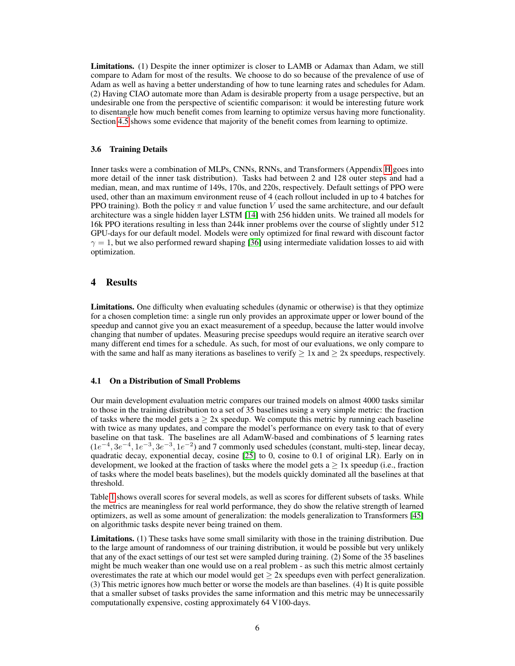Limitations. (1) Despite the inner optimizer is closer to LAMB or Adamax than Adam, we still compare to Adam for most of the results. We choose to do so because of the prevalence of use of Adam as well as having a better understanding of how to tune learning rates and schedules for Adam. (2) Having CIAO automate more than Adam is desirable property from a usage perspective, but an undesirable one from the perspective of scientific comparison: it would be interesting future work to disentangle how much benefit comes from learning to optimize versus having more functionality. Section [4.5](#page-8-0) shows some evidence that majority of the benefit comes from learning to optimize.

#### <span id="page-5-0"></span>3.6 Training Details

Inner tasks were a combination of MLPs, CNNs, RNNs, and Transformers (Appendix [H](#page-18-1) goes into more detail of the inner task distribution). Tasks had between 2 and 128 outer steps and had a median, mean, and max runtime of 149s, 170s, and 220s, respectively. Default settings of PPO were used, other than an maximum environment reuse of 4 (each rollout included in up to 4 batches for PPO training). Both the policy  $\pi$  and value function V used the same architecture, and our default architecture was a single hidden layer LSTM [\[14\]](#page-12-8) with 256 hidden units. We trained all models for 16k PPO iterations resulting in less than 244k inner problems over the course of slightly under 512 GPU-days for our default model. Models were only optimized for final reward with discount factor  $\gamma = 1$ , but we also performed reward shaping [\[36\]](#page-13-12) using intermediate validation losses to aid with optimization.

### 4 Results

Limitations. One difficulty when evaluating schedules (dynamic or otherwise) is that they optimize for a chosen completion time: a single run only provides an approximate upper or lower bound of the speedup and cannot give you an exact measurement of a speedup, because the latter would involve changing that number of updates. Measuring precise speedups would require an iterative search over many different end times for a schedule. As such, for most of our evaluations, we only compare to with the same and half as many iterations as baselines to verify  $> 1x$  and  $> 2x$  speedups, respectively.

#### <span id="page-5-1"></span>4.1 On a Distribution of Small Problems

Our main development evaluation metric compares our trained models on almost 4000 tasks similar to those in the training distribution to a set of 35 baselines using a very simple metric: the fraction of tasks where the model gets  $a > 2x$  speedup. We compute this metric by running each baseline with twice as many updates, and compare the model's performance on every task to that of every baseline on that task. The baselines are all AdamW-based and combinations of 5 learning rates  $(1e^{-4}, 3e^{-4}, 1e^{-3}, 3e^{-3}, 1e^{-2})$  and 7 commonly used schedules (constant, multi-step, linear decay, quadratic decay, exponential decay, cosine [\[25\]](#page-12-9) to 0, cosine to 0.1 of original LR). Early on in development, we looked at the fraction of tasks where the model gets  $a > 1x$  speedup (i.e., fraction of tasks where the model beats baselines), but the models quickly dominated all the baselines at that threshold.

Table [1](#page-6-0) shows overall scores for several models, as well as scores for different subsets of tasks. While the metrics are meaningless for real world performance, they do show the relative strength of learned optimizers, as well as some amount of generalization: the models generalization to Transformers [\[45\]](#page-13-13) on algorithmic tasks despite never being trained on them.

Limitations. (1) These tasks have some small similarity with those in the training distribution. Due to the large amount of randomness of our training distribution, it would be possible but very unlikely that any of the exact settings of our test set were sampled during training. (2) Some of the 35 baselines might be much weaker than one would use on a real problem - as such this metric almost certainly overestimates the rate at which our model would get  $\geq 2x$  speedups even with perfect generalization. (3) This metric ignores how much better or worse the models are than baselines. (4) It is quite possible that a smaller subset of tasks provides the same information and this metric may be unnecessarily computationally expensive, costing approximately 64 V100-days.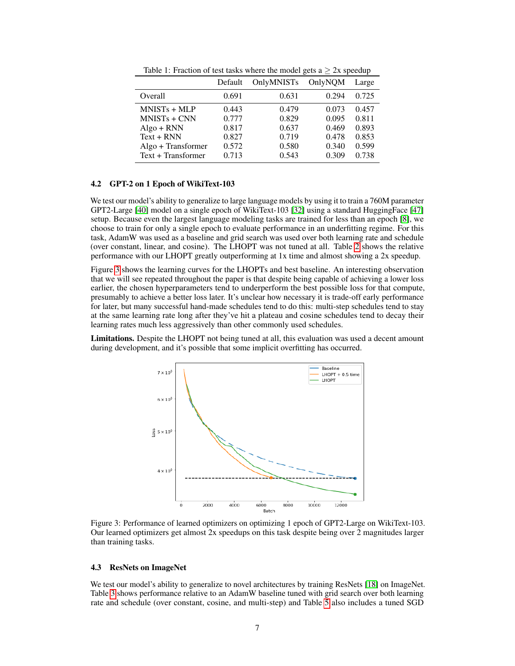<span id="page-6-0"></span>

|                    | Default | <b>OnlyMNISTs</b> | OnlyNOM | Large |
|--------------------|---------|-------------------|---------|-------|
| Overall            | 0.691   | 0.631             | 0.294   | 0.725 |
| $MNISTs + MLP$     | 0.443   | 0.479             | 0.073   | 0.457 |
| $MNISTs + CNN$     | 0.777   | 0.829             | 0.095   | 0.811 |
| $Algo + RNN$       | 0.817   | 0.637             | 0.469   | 0.893 |
| $Text + RNN$       | 0.827   | 0.719             | 0.478   | 0.853 |
| Algo + Transformer | 0.572   | 0.580             | 0.340   | 0.599 |
| Text + Transformer | 0.713   | 0.543             | 0.309   | 0.738 |

Table 1: Fraction of test tasks where the model gets a  $\geq 2x$  speedup

#### <span id="page-6-2"></span>4.2 GPT-2 on 1 Epoch of WikiText-103

We test our model's ability to generalize to large language models by using it to train a 760M parameter GPT2-Large [\[40\]](#page-13-14) model on a single epoch of WikiText-103 [\[32\]](#page-13-15) using a standard HuggingFace [\[47\]](#page-13-16) setup. Because even the largest language modeling tasks are trained for less than an epoch [\[8\]](#page-11-1), we choose to train for only a single epoch to evaluate performance in an underfitting regime. For this task, AdamW was used as a baseline and grid search was used over both learning rate and schedule (over constant, linear, and cosine). The LHOPT was not tuned at all. Table [2](#page-7-0) shows the relative performance with our LHOPT greatly outperforming at 1x time and almost showing a 2x speedup.

Figure [3](#page-6-1) shows the learning curves for the LHOPTs and best baseline. An interesting observation that we will see repeated throughout the paper is that despite being capable of achieving a lower loss earlier, the chosen hyperparameters tend to underperform the best possible loss for that compute, presumably to achieve a better loss later. It's unclear how necessary it is trade-off early performance for later, but many successful hand-made schedules tend to do this: multi-step schedules tend to stay at the same learning rate long after they've hit a plateau and cosine schedules tend to decay their learning rates much less aggressively than other commonly used schedules.

<span id="page-6-1"></span>Limitations. Despite the LHOPT not being tuned at all, this evaluation was used a decent amount during development, and it's possible that some implicit overfitting has occurred.



Figure 3: Performance of learned optimizers on optimizing 1 epoch of GPT2-Large on WikiText-103. Our learned optimizers get almost 2x speedups on this task despite being over 2 magnitudes larger than training tasks.

#### <span id="page-6-3"></span>4.3 ResNets on ImageNet

We test our model's ability to generalize to novel architectures by training ResNets [\[18\]](#page-12-10) on ImageNet. Table [3](#page-7-1) shows performance relative to an AdamW baseline tuned with grid search over both learning rate and schedule (over constant, cosine, and multi-step) and Table [5](#page-18-2) also includes a tuned SGD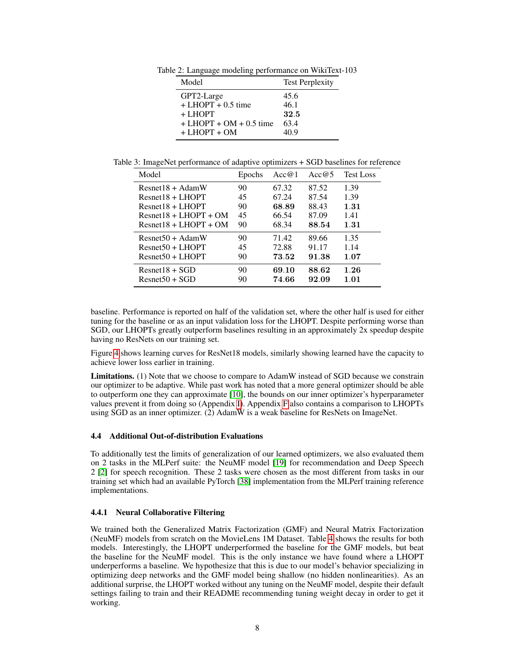<span id="page-7-0"></span>Table 2: Language modeling performance on WikiText-103

| Model                         | <b>Test Perplexity</b> |
|-------------------------------|------------------------|
| GPT2-Large                    | 45.6                   |
| $+$ LHOPT $+$ 0.5 time        | 46.1                   |
| + LHOPT                       | 32.5                   |
| $+$ LHOPT $+$ OM $+$ 0.5 time | 63.4                   |
| $+$ LHOPT $+$ OM              | 40.9                   |

<span id="page-7-1"></span>Table 3: ImageNet performance of adaptive optimizers + SGD baselines for reference

| Model                   | Epochs | Acc@1 | Acc $@5$ | <b>Test Loss</b> |
|-------------------------|--------|-------|----------|------------------|
| $Resnet18 + AdamW$      | 90     | 67.32 | 87.52    | 1.39             |
| $Resnet18 + LHOPT$      | 45     | 67.24 | 87.54    | 1.39             |
| $Resnet18 + LHOPT$      | 90     | 68.89 | 88.43    | 1.31             |
| $Resnet18 + LHOPT + OM$ | 45     | 66.54 | 87.09    | 1.41             |
| $Resnet18 + LHOPT + OM$ | 90     | 68.34 | 88.54    | 1.31             |
| $Resnet50 + AdamW$      | 90     | 71.42 | 89.66    | 1.35             |
| $Resnet50 + LHOPT$      | 45     | 72.88 | 91.17    | 1.14             |
| $Resnet50 + LHOPT$      | 90     | 73.52 | 91.38    | 1.07             |
| $Resnet18 + SGD$        | 90     | 69.10 | 88.62    | 1.26             |
| $Resnet50 + SGD$        | 90     | 74.66 | 92.09    | 1.01             |

baseline. Performance is reported on half of the validation set, where the other half is used for either tuning for the baseline or as an input validation loss for the LHOPT. Despite performing worse than SGD, our LHOPTs greatly outperform baselines resulting in an approximately 2x speedup despite having no ResNets on our training set.

Figure [4](#page-8-1) shows learning curves for ResNet18 models, similarly showing learned have the capacity to achieve lower loss earlier in training.

Limitations. (1) Note that we choose to compare to AdamW instead of SGD because we constrain our optimizer to be adaptive. While past work has noted that a more general optimizer should be able to outperform one they can approximate [\[10\]](#page-12-11), the bounds on our inner optimizer's hyperparameter values prevent it from doing so (Appendix [I\)](#page-18-0). Appendix [F](#page-17-1) also contains a comparison to LHOPTs using SGD as an inner optimizer. (2) AdamW is a weak baseline for ResNets on ImageNet.

#### 4.4 Additional Out-of-distribution Evaluations

To additionally test the limits of generalization of our learned optimizers, we also evaluated them on 2 tasks in the MLPerf suite: the NeuMF model [\[19\]](#page-12-12) for recommendation and Deep Speech 2 [\[2\]](#page-11-4) for speech recognition. These 2 tasks were chosen as the most different from tasks in our training set which had an available PyTorch [\[38\]](#page-13-17) implementation from the MLPerf training reference implementations.

#### <span id="page-7-2"></span>4.4.1 Neural Collaborative Filtering

We trained both the Generalized Matrix Factorization (GMF) and Neural Matrix Factorization (NeuMF) models from scratch on the MovieLens 1M Dataset. Table [4](#page-8-2) shows the results for both models. Interestingly, the LHOPT underperformed the baseline for the GMF models, but beat the baseline for the NeuMF model. This is the only instance we have found where a LHOPT underperforms a baseline. We hypothesize that this is due to our model's behavior specializing in optimizing deep networks and the GMF model being shallow (no hidden nonlinearities). As an additional surprise, the LHOPT worked without any tuning on the NeuMF model, despite their default settings failing to train and their README recommending tuning weight decay in order to get it working.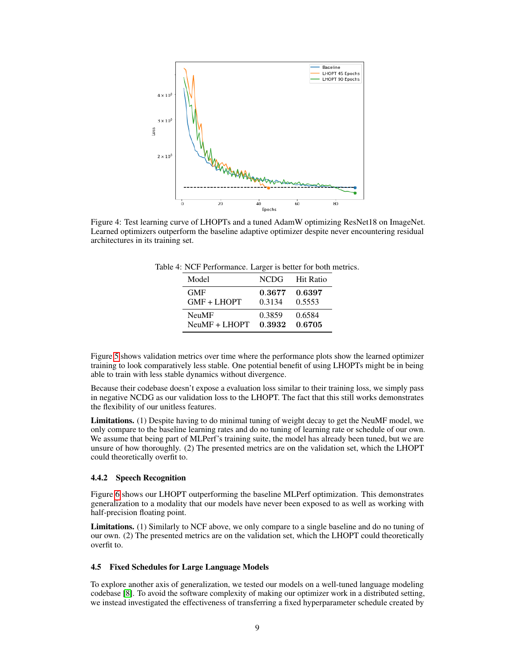<span id="page-8-1"></span>

<span id="page-8-2"></span>Figure 4: Test learning curve of LHOPTs and a tuned AdamW optimizing ResNet18 on ImageNet. Learned optimizers outperform the baseline adaptive optimizer despite never encountering residual architectures in its training set.

| Model           | <b>NCDG</b> | Hit Ratio |
|-----------------|-------------|-----------|
| <b>GMF</b>      | 0.3677      | 0.6397    |
| $GMF + LHOPT$   | 0.3134      | 0.5553    |
| <b>NeuMF</b>    | 0.3859      | 0.6584    |
| $NeuMF + LHOPT$ | 0.3932      | 0.6705    |

Figure [5](#page-9-0) shows validation metrics over time where the performance plots show the learned optimizer training to look comparatively less stable. One potential benefit of using LHOPTs might be in being able to train with less stable dynamics without divergence.

Because their codebase doesn't expose a evaluation loss similar to their training loss, we simply pass in negative NCDG as our validation loss to the LHOPT. The fact that this still works demonstrates the flexibility of our unitless features.

Limitations. (1) Despite having to do minimal tuning of weight decay to get the NeuMF model, we only compare to the baseline learning rates and do no tuning of learning rate or schedule of our own. We assume that being part of MLPerf's training suite, the model has already been tuned, but we are unsure of how thoroughly. (2) The presented metrics are on the validation set, which the LHOPT could theoretically overfit to.

#### 4.4.2 Speech Recognition

Figure [6](#page-9-1) shows our LHOPT outperforming the baseline MLPerf optimization. This demonstrates generalization to a modality that our models have never been exposed to as well as working with half-precision floating point.

Limitations. (1) Similarly to NCF above, we only compare to a single baseline and do no tuning of our own. (2) The presented metrics are on the validation set, which the LHOPT could theoretically overfit to.

#### <span id="page-8-0"></span>4.5 Fixed Schedules for Large Language Models

To explore another axis of generalization, we tested our models on a well-tuned language modeling codebase [\[8\]](#page-11-1). To avoid the software complexity of making our optimizer work in a distributed setting, we instead investigated the effectiveness of transferring a fixed hyperparameter schedule created by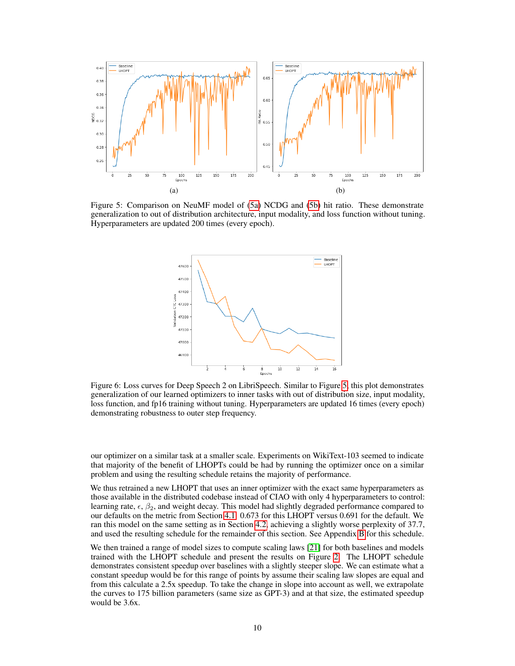<span id="page-9-0"></span>

<span id="page-9-1"></span>Figure 5: Comparison on NeuMF model of [\(5a\)](#page-9-0) NCDG and [\(5b\)](#page-9-0) hit ratio. These demonstrate generalization to out of distribution architecture, input modality, and loss function without tuning. Hyperparameters are updated 200 times (every epoch).



Figure 6: Loss curves for Deep Speech 2 on LibriSpeech. Similar to Figure [5,](#page-9-0) this plot demonstrates generalization of our learned optimizers to inner tasks with out of distribution size, input modality, loss function, and fp16 training without tuning. Hyperparameters are updated 16 times (every epoch) demonstrating robustness to outer step frequency.

our optimizer on a similar task at a smaller scale. Experiments on WikiText-103 seemed to indicate that majority of the benefit of LHOPTs could be had by running the optimizer once on a similar problem and using the resulting schedule retains the majority of performance.

We thus retrained a new LHOPT that uses an inner optimizer with the exact same hyperparameters as those available in the distributed codebase instead of CIAO with only 4 hyperparameters to control: learning rate,  $\epsilon$ ,  $\beta_2$ , and weight decay. This model had slightly degraded performance compared to our defaults on the metric from Section [4.1:](#page-5-1) 0.673 for this LHOPT versus 0.691 for the default. We ran this model on the same setting as in Section [4.2,](#page-6-2) achieving a slightly worse perplexity of 37.7, and used the resulting schedule for the remainder of this section. See Appendix [B](#page-15-1) for this schedule.

We then trained a range of model sizes to compute scaling laws [\[21\]](#page-12-0) for both baselines and models trained with the LHOPT schedule and present the results on Figure [2.](#page-2-0) The LHOPT schedule demonstrates consistent speedup over baselines with a slightly steeper slope. We can estimate what a constant speedup would be for this range of points by assume their scaling law slopes are equal and from this calculate a 2.5x speedup. To take the change in slope into account as well, we extrapolate the curves to 175 billion parameters (same size as GPT-3) and at that size, the estimated speedup would be 3.6x.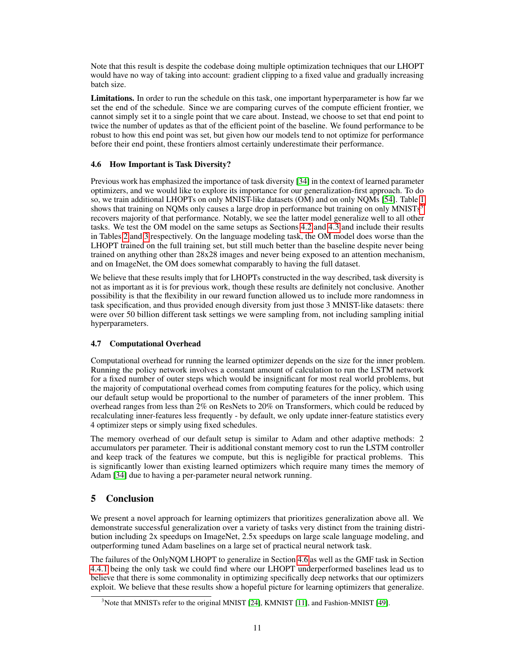Note that this result is despite the codebase doing multiple optimization techniques that our LHOPT would have no way of taking into account: gradient clipping to a fixed value and gradually increasing batch size.

Limitations. In order to run the schedule on this task, one important hyperparameter is how far we set the end of the schedule. Since we are comparing curves of the compute efficient frontier, we cannot simply set it to a single point that we care about. Instead, we choose to set that end point to twice the number of updates as that of the efficient point of the baseline. We found performance to be robust to how this end point was set, but given how our models tend to not optimize for performance before their end point, these frontiers almost certainly underestimate their performance.

### <span id="page-10-1"></span>4.6 How Important is Task Diversity?

Previous work has emphasized the importance of task diversity [\[34\]](#page-13-3) in the context of learned parameter optimizers, and we would like to explore its importance for our generalization-first approach. To do so, we train additional LHOPTs on only MNIST-like datasets (OM) and on only NQMs [\[54\]](#page-14-3). Table [1](#page-6-0) shows that training on NQMs only causes a large drop in performance but training on only MNISTs<sup>[3](#page-10-0)</sup> recovers majority of that performance. Notably, we see the latter model generalize well to all other tasks. We test the OM model on the same setups as Sections [4.2](#page-6-2) and [4.3](#page-6-3) and include their results in Tables [2](#page-7-0) and [3](#page-7-1) respectively. On the language modeling task, the OM model does worse than the LHOPT trained on the full training set, but still much better than the baseline despite never being trained on anything other than 28x28 images and never being exposed to an attention mechanism, and on ImageNet, the OM does somewhat comparably to having the full dataset.

We believe that these results imply that for LHOPTs constructed in the way described, task diversity is not as important as it is for previous work, though these results are definitely not conclusive. Another possibility is that the flexibility in our reward function allowed us to include more randomness in task specification, and thus provided enough diversity from just those 3 MNIST-like datasets: there were over 50 billion different task settings we were sampling from, not including sampling initial hyperparameters.

### 4.7 Computational Overhead

Computational overhead for running the learned optimizer depends on the size for the inner problem. Running the policy network involves a constant amount of calculation to run the LSTM network for a fixed number of outer steps which would be insignificant for most real world problems, but the majority of computational overhead comes from computing features for the policy, which using our default setup would be proportional to the number of parameters of the inner problem. This overhead ranges from less than  $2\%$  on ResNets to 20% on Transformers, which could be reduced by recalculating inner-features less frequently - by default, we only update inner-feature statistics every 4 optimizer steps or simply using fixed schedules.

The memory overhead of our default setup is similar to Adam and other adaptive methods: 2 accumulators per parameter. Their is additional constant memory cost to run the LSTM controller and keep track of the features we compute, but this is negligible for practical problems. This is significantly lower than existing learned optimizers which require many times the memory of Adam [\[34\]](#page-13-3) due to having a per-parameter neural network running.

# 5 Conclusion

We present a novel approach for learning optimizers that prioritizes generalization above all. We demonstrate successful generalization over a variety of tasks very distinct from the training distribution including 2x speedups on ImageNet, 2.5x speedups on large scale language modeling, and outperforming tuned Adam baselines on a large set of practical neural network task.

The failures of the OnlyNQM LHOPT to generalize in Section [4.6](#page-10-1) as well as the GMF task in Section [4.4.1](#page-7-2) being the only task we could find where our LHOPT underperformed baselines lead us to believe that there is some commonality in optimizing specifically deep networks that our optimizers exploit. We believe that these results show a hopeful picture for learning optimizers that generalize.

<span id="page-10-0"></span> $3$ Note that MNISTs refer to the original MNIST [\[24\]](#page-12-13), KMNIST [\[11\]](#page-12-14), and Fashion-MNIST [\[49\]](#page-14-4).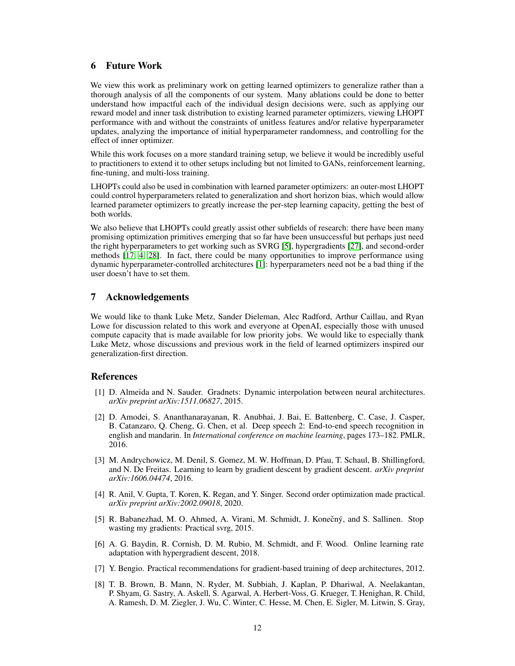### 6 Future Work

We view this work as preliminary work on getting learned optimizers to generalize rather than a thorough analysis of all the components of our system. Many ablations could be done to better understand how impactful each of the individual design decisions were, such as applying our reward model and inner task distribution to existing learned parameter optimizers, viewing LHOPT performance with and without the constraints of unitless features and/or relative hyperparameter updates, analyzing the importance of initial hyperparameter randomness, and controlling for the effect of inner optimizer.

While this work focuses on a more standard training setup, we believe it would be incredibly useful to practitioners to extend it to other setups including but not limited to GANs, reinforcement learning, fine-tuning, and multi-loss training.

LHOPTs could also be used in combination with learned parameter optimizers: an outer-most LHOPT could control hyperparameters related to generalization and short horizon bias, which would allow learned parameter optimizers to greatly increase the per-step learning capacity, getting the best of both worlds.

We also believe that LHOPTs could greatly assist other subfields of research: there have been many promising optimization primitives emerging that so far have been unsuccessful but perhaps just need the right hyperparameters to get working such as SVRG [\[5\]](#page-11-5), hypergradients [\[27\]](#page-12-3), and second-order methods [\[17,](#page-12-15) [4,](#page-11-6) [28\]](#page-12-16). In fact, there could be many opportunities to improve performance using dynamic hyperparameter-controlled architectures [\[1\]](#page-11-7): hyperparameters need not be a bad thing if the user doesn't have to set them.

### 7 Acknowledgements

We would like to thank Luke Metz, Sander Dieleman, Alec Radford, Arthur Caillau, and Ryan Lowe for discussion related to this work and everyone at OpenAI, especially those with unused compute capacity that is made available for low priority jobs. We would like to especially thank Luke Metz, whose discussions and previous work in the field of learned optimizers inspired our generalization-first direction.

### References

- <span id="page-11-7"></span>[1] D. Almeida and N. Sauder. Gradnets: Dynamic interpolation between neural architectures. *arXiv preprint arXiv:1511.06827*, 2015.
- <span id="page-11-4"></span>[2] D. Amodei, S. Ananthanarayanan, R. Anubhai, J. Bai, E. Battenberg, C. Case, J. Casper, B. Catanzaro, Q. Cheng, G. Chen, et al. Deep speech 2: End-to-end speech recognition in english and mandarin. In *International conference on machine learning*, pages 173–182. PMLR, 2016.
- <span id="page-11-2"></span>[3] M. Andrychowicz, M. Denil, S. Gomez, M. W. Hoffman, D. Pfau, T. Schaul, B. Shillingford, and N. De Freitas. Learning to learn by gradient descent by gradient descent. *arXiv preprint arXiv:1606.04474*, 2016.
- <span id="page-11-6"></span>[4] R. Anil, V. Gupta, T. Koren, K. Regan, and Y. Singer. Second order optimization made practical. *arXiv preprint arXiv:2002.09018*, 2020.
- <span id="page-11-5"></span>[5] R. Babanezhad, M. O. Ahmed, A. Virani, M. Schmidt, J. Konečný, and S. Sallinen. Stop wasting my gradients: Practical svrg, 2015.
- <span id="page-11-3"></span>[6] A. G. Baydin, R. Cornish, D. M. Rubio, M. Schmidt, and F. Wood. Online learning rate adaptation with hypergradient descent, 2018.
- <span id="page-11-0"></span>[7] Y. Bengio. Practical recommendations for gradient-based training of deep architectures, 2012.
- <span id="page-11-1"></span>[8] T. B. Brown, B. Mann, N. Ryder, M. Subbiah, J. Kaplan, P. Dhariwal, A. Neelakantan, P. Shyam, G. Sastry, A. Askell, S. Agarwal, A. Herbert-Voss, G. Krueger, T. Henighan, R. Child, A. Ramesh, D. M. Ziegler, J. Wu, C. Winter, C. Hesse, M. Chen, E. Sigler, M. Litwin, S. Gray,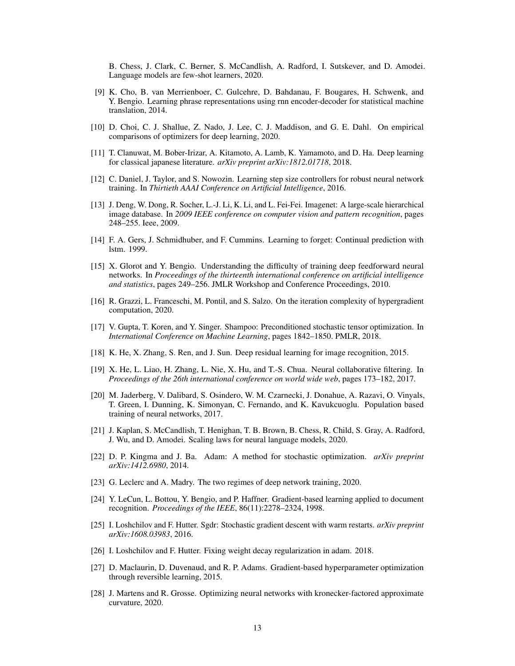B. Chess, J. Clark, C. Berner, S. McCandlish, A. Radford, I. Sutskever, and D. Amodei. Language models are few-shot learners, 2020.

- <span id="page-12-18"></span>[9] K. Cho, B. van Merrienboer, C. Gulcehre, D. Bahdanau, F. Bougares, H. Schwenk, and Y. Bengio. Learning phrase representations using rnn encoder-decoder for statistical machine translation, 2014.
- <span id="page-12-11"></span>[10] D. Choi, C. J. Shallue, Z. Nado, J. Lee, C. J. Maddison, and G. E. Dahl. On empirical comparisons of optimizers for deep learning, 2020.
- <span id="page-12-14"></span>[11] T. Clanuwat, M. Bober-Irizar, A. Kitamoto, A. Lamb, K. Yamamoto, and D. Ha. Deep learning for classical japanese literature. *arXiv preprint arXiv:1812.01718*, 2018.
- <span id="page-12-5"></span>[12] C. Daniel, J. Taylor, and S. Nowozin. Learning step size controllers for robust neural network training. In *Thirtieth AAAI Conference on Artificial Intelligence*, 2016.
- <span id="page-12-1"></span>[13] J. Deng, W. Dong, R. Socher, L.-J. Li, K. Li, and L. Fei-Fei. Imagenet: A large-scale hierarchical image database. In *2009 IEEE conference on computer vision and pattern recognition*, pages 248–255. Ieee, 2009.
- <span id="page-12-8"></span>[14] F. A. Gers, J. Schmidhuber, and F. Cummins. Learning to forget: Continual prediction with lstm. 1999.
- <span id="page-12-17"></span>[15] X. Glorot and Y. Bengio. Understanding the difficulty of training deep feedforward neural networks. In *Proceedings of the thirteenth international conference on artificial intelligence and statistics*, pages 249–256. JMLR Workshop and Conference Proceedings, 2010.
- <span id="page-12-4"></span>[16] R. Grazzi, L. Franceschi, M. Pontil, and S. Salzo. On the iteration complexity of hypergradient computation, 2020.
- <span id="page-12-15"></span>[17] V. Gupta, T. Koren, and Y. Singer. Shampoo: Preconditioned stochastic tensor optimization. In *International Conference on Machine Learning*, pages 1842–1850. PMLR, 2018.
- <span id="page-12-10"></span>[18] K. He, X. Zhang, S. Ren, and J. Sun. Deep residual learning for image recognition, 2015.
- <span id="page-12-12"></span>[19] X. He, L. Liao, H. Zhang, L. Nie, X. Hu, and T.-S. Chua. Neural collaborative filtering. In *Proceedings of the 26th international conference on world wide web*, pages 173–182, 2017.
- <span id="page-12-6"></span>[20] M. Jaderberg, V. Dalibard, S. Osindero, W. M. Czarnecki, J. Donahue, A. Razavi, O. Vinyals, T. Green, I. Dunning, K. Simonyan, C. Fernando, and K. Kavukcuoglu. Population based training of neural networks, 2017.
- <span id="page-12-0"></span>[21] J. Kaplan, S. McCandlish, T. Henighan, T. B. Brown, B. Chess, R. Child, S. Gray, A. Radford, J. Wu, and D. Amodei. Scaling laws for neural language models, 2020.
- <span id="page-12-7"></span>[22] D. P. Kingma and J. Ba. Adam: A method for stochastic optimization. *arXiv preprint arXiv:1412.6980*, 2014.
- <span id="page-12-19"></span>[23] G. Leclerc and A. Madry. The two regimes of deep network training, 2020.
- <span id="page-12-13"></span>[24] Y. LeCun, L. Bottou, Y. Bengio, and P. Haffner. Gradient-based learning applied to document recognition. *Proceedings of the IEEE*, 86(11):2278–2324, 1998.
- <span id="page-12-9"></span>[25] I. Loshchilov and F. Hutter. Sgdr: Stochastic gradient descent with warm restarts. *arXiv preprint arXiv:1608.03983*, 2016.
- <span id="page-12-2"></span>[26] I. Loshchilov and F. Hutter. Fixing weight decay regularization in adam. 2018.
- <span id="page-12-3"></span>[27] D. Maclaurin, D. Duvenaud, and R. P. Adams. Gradient-based hyperparameter optimization through reversible learning, 2015.
- <span id="page-12-16"></span>[28] J. Martens and R. Grosse. Optimizing neural networks with kronecker-factored approximate curvature, 2020.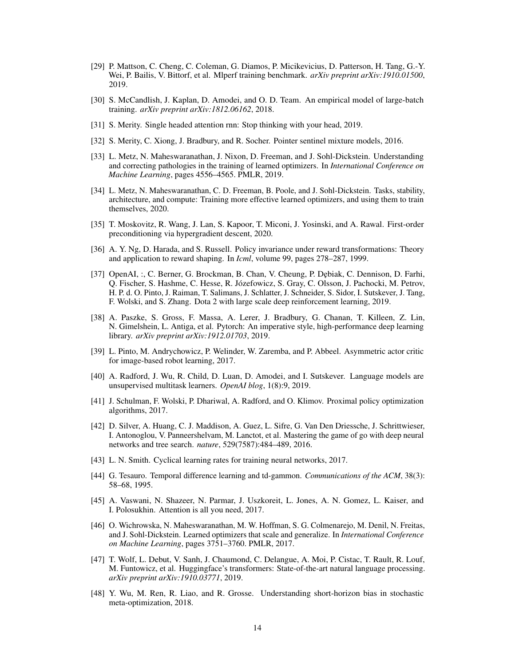- <span id="page-13-4"></span>[29] P. Mattson, C. Cheng, C. Coleman, G. Diamos, P. Micikevicius, D. Patterson, H. Tang, G.-Y. Wei, P. Bailis, V. Bittorf, et al. Mlperf training benchmark. *arXiv preprint arXiv:1910.01500*, 2019.
- <span id="page-13-19"></span>[30] S. McCandlish, J. Kaplan, D. Amodei, and O. D. Team. An empirical model of large-batch training. *arXiv preprint arXiv:1812.06162*, 2018.
- <span id="page-13-18"></span>[31] S. Merity. Single headed attention rnn: Stop thinking with your head, 2019.
- <span id="page-13-15"></span>[32] S. Merity, C. Xiong, J. Bradbury, and R. Socher. Pointer sentinel mixture models, 2016.
- <span id="page-13-2"></span>[33] L. Metz, N. Maheswaranathan, J. Nixon, D. Freeman, and J. Sohl-Dickstein. Understanding and correcting pathologies in the training of learned optimizers. In *International Conference on Machine Learning*, pages 4556–4565. PMLR, 2019.
- <span id="page-13-3"></span>[34] L. Metz, N. Maheswaranathan, C. D. Freeman, B. Poole, and J. Sohl-Dickstein. Tasks, stability, architecture, and compute: Training more effective learned optimizers, and using them to train themselves, 2020.
- <span id="page-13-5"></span>[35] T. Moskovitz, R. Wang, J. Lan, S. Kapoor, T. Miconi, J. Yosinski, and A. Rawal. First-order preconditioning via hypergradient descent, 2020.
- <span id="page-13-12"></span>[36] A. Y. Ng, D. Harada, and S. Russell. Policy invariance under reward transformations: Theory and application to reward shaping. In *Icml*, volume 99, pages 278–287, 1999.
- <span id="page-13-0"></span>[37] OpenAI, :, C. Berner, G. Brockman, B. Chan, V. Cheung, P. Dębiak, C. Dennison, D. Farhi, Q. Fischer, S. Hashme, C. Hesse, R. Józefowicz, S. Gray, C. Olsson, J. Pachocki, M. Petrov, H. P. d. O. Pinto, J. Raiman, T. Salimans, J. Schlatter, J. Schneider, S. Sidor, I. Sutskever, J. Tang, F. Wolski, and S. Zhang. Dota 2 with large scale deep reinforcement learning, 2019.
- <span id="page-13-17"></span>[38] A. Paszke, S. Gross, F. Massa, A. Lerer, J. Bradbury, G. Chanan, T. Killeen, Z. Lin, N. Gimelshein, L. Antiga, et al. Pytorch: An imperative style, high-performance deep learning library. *arXiv preprint arXiv:1912.01703*, 2019.
- <span id="page-13-8"></span>[39] L. Pinto, M. Andrychowicz, P. Welinder, W. Zaremba, and P. Abbeel. Asymmetric actor critic for image-based robot learning, 2017.
- <span id="page-13-14"></span>[40] A. Radford, J. Wu, R. Child, D. Luan, D. Amodei, and I. Sutskever. Language models are unsupervised multitask learners. *OpenAI blog*, 1(8):9, 2019.
- <span id="page-13-7"></span>[41] J. Schulman, F. Wolski, P. Dhariwal, A. Radford, and O. Klimov. Proximal policy optimization algorithms, 2017.
- <span id="page-13-11"></span>[42] D. Silver, A. Huang, C. J. Maddison, A. Guez, L. Sifre, G. Van Den Driessche, J. Schrittwieser, I. Antonoglou, V. Panneershelvam, M. Lanctot, et al. Mastering the game of go with deep neural networks and tree search. *nature*, 529(7587):484–489, 2016.
- <span id="page-13-9"></span>[43] L. N. Smith. Cyclical learning rates for training neural networks, 2017.
- <span id="page-13-10"></span>[44] G. Tesauro. Temporal difference learning and td-gammon. *Communications of the ACM*, 38(3): 58–68, 1995.
- <span id="page-13-13"></span>[45] A. Vaswani, N. Shazeer, N. Parmar, J. Uszkoreit, L. Jones, A. N. Gomez, L. Kaiser, and I. Polosukhin. Attention is all you need, 2017.
- <span id="page-13-1"></span>[46] O. Wichrowska, N. Maheswaranathan, M. W. Hoffman, S. G. Colmenarejo, M. Denil, N. Freitas, and J. Sohl-Dickstein. Learned optimizers that scale and generalize. In *International Conference on Machine Learning*, pages 3751–3760. PMLR, 2017.
- <span id="page-13-16"></span>[47] T. Wolf, L. Debut, V. Sanh, J. Chaumond, C. Delangue, A. Moi, P. Cistac, T. Rault, R. Louf, M. Funtowicz, et al. Huggingface's transformers: State-of-the-art natural language processing. *arXiv preprint arXiv:1910.03771*, 2019.
- <span id="page-13-6"></span>[48] Y. Wu, M. Ren, R. Liao, and R. Grosse. Understanding short-horizon bias in stochastic meta-optimization, 2018.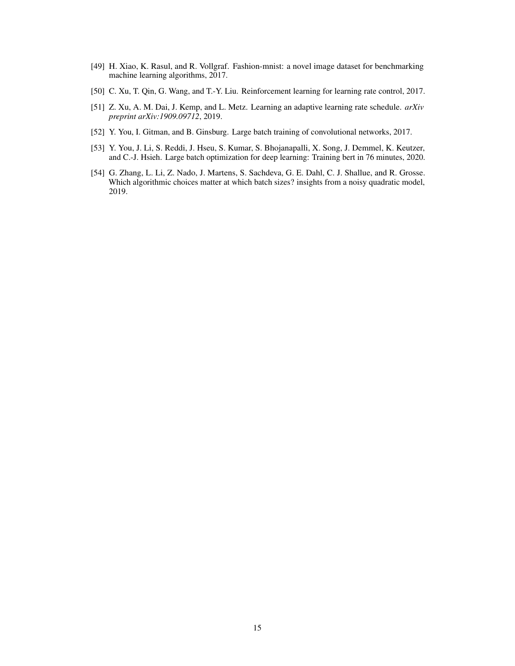- <span id="page-14-4"></span>[49] H. Xiao, K. Rasul, and R. Vollgraf. Fashion-mnist: a novel image dataset for benchmarking machine learning algorithms, 2017.
- <span id="page-14-0"></span>[50] C. Xu, T. Qin, G. Wang, and T.-Y. Liu. Reinforcement learning for learning rate control, 2017.
- <span id="page-14-1"></span>[51] Z. Xu, A. M. Dai, J. Kemp, and L. Metz. Learning an adaptive learning rate schedule. *arXiv preprint arXiv:1909.09712*, 2019.
- <span id="page-14-5"></span>[52] Y. You, I. Gitman, and B. Ginsburg. Large batch training of convolutional networks, 2017.
- <span id="page-14-2"></span>[53] Y. You, J. Li, S. Reddi, J. Hseu, S. Kumar, S. Bhojanapalli, X. Song, J. Demmel, K. Keutzer, and C.-J. Hsieh. Large batch optimization for deep learning: Training bert in 76 minutes, 2020.
- <span id="page-14-3"></span>[54] G. Zhang, L. Li, Z. Nado, J. Martens, S. Sachdeva, G. E. Dahl, C. J. Shallue, and R. Grosse. Which algorithmic choices matter at which batch sizes? insights from a noisy quadratic model, 2019.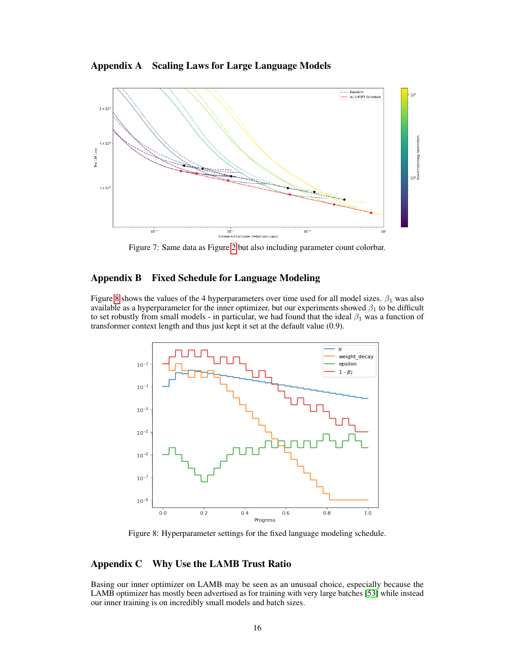Appendix A Scaling Laws for Large Language Models



Figure 7: Same data as Figure [2](#page-2-0) but also including parameter count colorbar.

### <span id="page-15-1"></span>Appendix B Fixed Schedule for Language Modeling

Figure [8](#page-15-2) shows the values of the 4 hyperparameters over time used for all model sizes.  $\beta_1$  was also available as a hyperparameter for the inner optimizer, but our experiments showed  $\beta_1$  to be difficult to set robustly from small models - in particular, we had found that the ideal  $\beta_1$  was a function of transformer context length and thus just kept it set at the default value (0.9).

<span id="page-15-2"></span>

Figure 8: Hyperparameter settings for the fixed language modeling schedule.

# <span id="page-15-0"></span>Appendix C Why Use the LAMB Trust Ratio

Basing our inner optimizer on LAMB may be seen as an unusual choice, especially because the LAMB optimizer has mostly been advertised as for training with very large batches [\[53\]](#page-14-2) while instead our inner training is on incredibly small models and batch sizes.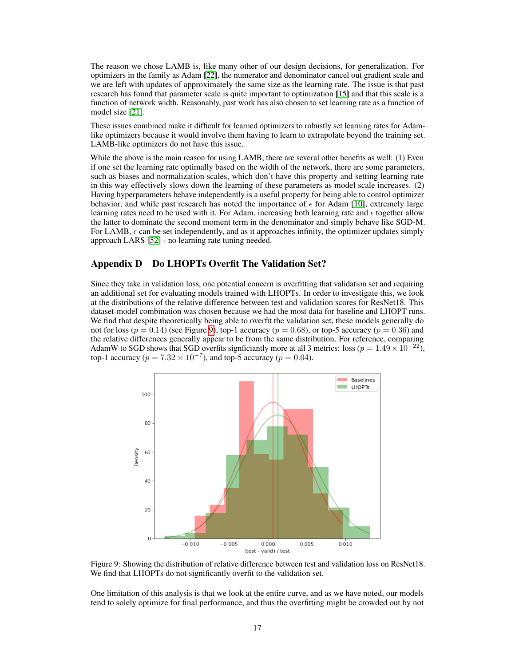The reason we chose LAMB is, like many other of our design decisions, for generalization. For optimizers in the family as Adam [\[22\]](#page-12-7), the numerator and denominator cancel out gradient scale and we are left with updates of approximately the same size as the learning rate. The issue is that past research has found that parameter scale is quite important to optimization [\[15\]](#page-12-17) and that this scale is a function of network width. Reasonably, past work has also chosen to set learning rate as a function of model size [\[21\]](#page-12-0).

These issues combined make it difficult for learned optimizers to robustly set learning rates for Adamlike optimizers because it would involve them having to learn to extrapolate beyond the training set. LAMB-like optimizers do not have this issue.

While the above is the main reason for using LAMB, there are several other benefits as well: (1) Even if one set the learning rate optimally based on the width of the network, there are some parameters, such as biases and normalization scales, which don't have this property and setting learning rate in this way effectively slows down the learning of these parameters as model scale increases. (2) Having hyperparameters behave independently is a useful property for being able to control optimizer behavior, and while past research has noted the importance of  $\epsilon$  for Adam [\[10\]](#page-12-11), extremely large learning rates need to be used with it. For Adam, increasing both learning rate and  $\epsilon$  together allow the latter to dominate the second moment term in the denominator and simply behave like SGD-M. For LAMB,  $\epsilon$  can be set independently, and as it approaches infinity, the optimizer updates simply approach LARS [\[52\]](#page-14-5) - no learning rate tuning needed.

### <span id="page-16-0"></span>Appendix D Do LHOPTs Overfit The Validation Set?

Since they take in validation loss, one potential concern is overfitting that validation set and requiring an additional set for evaluating models trained with LHOPTs. In order to investigate this, we look at the distributions of the relative difference between test and validation scores for ResNet18. This dataset-model combination was chosen because we had the most data for baseline and LHOPT runs. We find that despite theoretically being able to overfit the validation set, these models generally do not for loss ( $p = 0.14$ ) (see Figure [9\)](#page-16-1), top-1 accuracy ( $p = 0.68$ ), or top-5 accuracy ( $p = 0.36$ ) and the relative differences generally appear to be from the same distribution. For reference, comparing AdamW to SGD shows that SGD overfits signficiantly more at all 3 metrics: loss ( $p = 1.49 \times 10^{-22}$ ), top-1 accuracy ( $p = 7.32 \times 10^{-7}$ ), and top-5 accuracy ( $p = 0.04$ ).

<span id="page-16-1"></span>

Figure 9: Showing the distribution of relative difference between test and validation loss on ResNet18. We find that LHOPTs do not significantly overfit to the validation set.

One limitation of this analysis is that we look at the entire curve, and as we have noted, our models tend to solely optimize for final performance, and thus the overfitting might be crowded out by not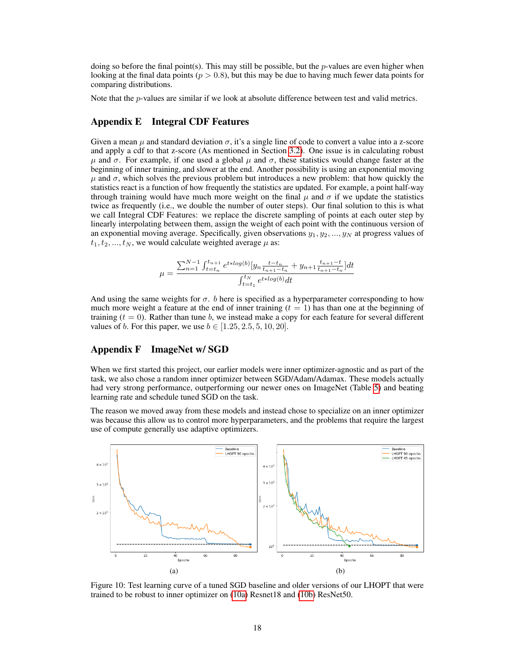doing so before the final point(s). This may still be possible, but the *p*-values are even higher when looking at the final data points ( $p > 0.8$ ), but this may be due to having much fewer data points for comparing distributions.

Note that the *p*-values are similar if we look at absolute difference between test and valid metrics.

### <span id="page-17-0"></span>Appendix E Integral CDF Features

Given a mean  $\mu$  and standard deviation  $\sigma$ , it's a single line of code to convert a value into a z-score and apply a cdf to that z-score (As mentioned in Section [3.2\)](#page-3-0). One issue is in calculating robust  $\mu$  and  $\sigma$ . For example, if one used a global  $\mu$  and  $\sigma$ , these statistics would change faster at the beginning of inner training, and slower at the end. Another possibility is using an exponential moving  $\mu$  and  $\sigma$ , which solves the previous problem but introduces a new problem: that how quickly the statistics react is a function of how frequently the statistics are updated. For example, a point half-way through training would have much more weight on the final  $\mu$  and  $\sigma$  if we update the statistics twice as frequently (i.e., we double the number of outer steps). Our final solution to this is what we call Integral CDF Features: we replace the discrete sampling of points at each outer step by linearly interpolating between them, assign the weight of each point with the continuous version of an exponential moving average. Specifically, given observations  $y_1, y_2, ..., y_N$  at progress values of  $t_1, t_2, ..., t_N$ , we would calculate weighted average  $\mu$  as:

$$
\mu = \frac{\sum_{n=1}^{N-1} \int_{t=t_n}^{t_{n+1}} e^{t * log(b)} [y_n \frac{t - t_n}{t_{n+1} - t_n} + y_{n+1} \frac{t_{n+1} - t}{t_{n+1} - t_n}] dt}{\int_{t = t_1}^{t_N} e^{t * log(b)} dt}
$$

And using the same weights for  $\sigma$ . b here is specified as a hyperparameter corresponding to how much more weight a feature at the end of inner training  $(t = 1)$  has than one at the beginning of training  $(t = 0)$ . Rather than tune b, we instead make a copy for each feature for several different values of *b*. For this paper, we use  $b \in [1.25, 2.5, 5, 10, 20]$ .

### <span id="page-17-1"></span>Appendix F ImageNet w/ SGD

When we first started this project, our earlier models were inner optimizer-agnostic and as part of the task, we also chose a random inner optimizer between SGD/Adam/Adamax. These models actually had very strong performance, outperforming our newer ones on ImageNet (Table [5\)](#page-18-2) and beating learning rate and schedule tuned SGD on the task.

The reason we moved away from these models and instead chose to specialize on an inner optimizer was because this allow us to control more hyperparameters, and the problems that require the largest use of compute generally use adaptive optimizers.

<span id="page-17-2"></span>

Figure 10: Test learning curve of a tuned SGD baseline and older versions of our LHOPT that were trained to be robust to inner optimizer on [\(10a\)](#page-17-2) Resnet18 and [\(10b\)](#page-17-2) ResNet50.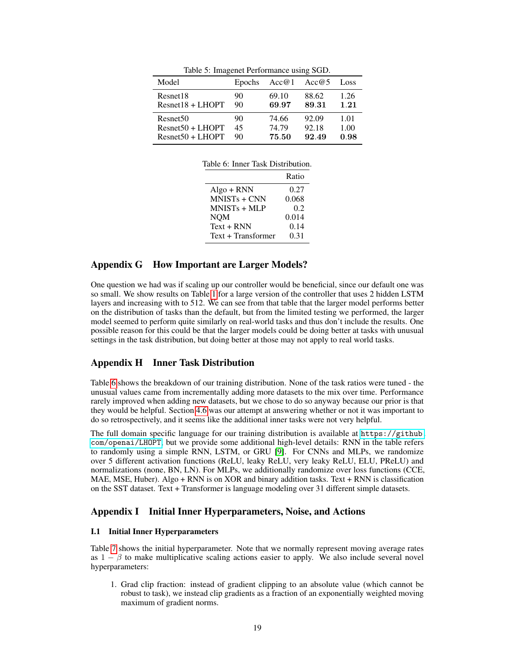<span id="page-18-3"></span><span id="page-18-2"></span>

| Model                | Epochs | Acc@1 | Acc@5 | Loss |
|----------------------|--------|-------|-------|------|
| Resnet18             | 90     | 69.10 | 88.62 | 1.26 |
| $Resnet18 + LHOPT$   | 90     | 69.97 | 89.31 | 1.21 |
| Resnet <sub>50</sub> | 90     | 74.66 | 92.09 | 1.01 |
| $Resnet50 + LHOPT$   | 45     | 74.79 | 92.18 | 1.00 |
| $Resnet50 + LHOPT$   | 90     | 75.50 | 92.49 | 0.98 |

Table 5: Imagenet Performance using SGD.

|                    | Ratio |
|--------------------|-------|
| $Algo + RNN$       | 0.27  |
| $MNISTs + CNN$     | 0.068 |
| $MNISTs + MLP$     | 0.2   |
| <b>NOM</b>         | 0.014 |
| $Text + RNN$       | 0.14  |
| Text + Transformer | 0.31  |

# Appendix G How Important are Larger Models?

One question we had was if scaling up our controller would be beneficial, since our default one was so small. We show results on Table [1](#page-6-0) for a large version of the controller that uses 2 hidden LSTM layers and increasing with to 512. We can see from that table that the larger model performs better on the distribution of tasks than the default, but from the limited testing we performed, the larger model seemed to perform quite similarly on real-world tasks and thus don't include the results. One possible reason for this could be that the larger models could be doing better at tasks with unusual settings in the task distribution, but doing better at those may not apply to real world tasks.

### <span id="page-18-1"></span>Appendix H Inner Task Distribution

Table [6](#page-18-3) shows the breakdown of our training distribution. None of the task ratios were tuned - the unusual values came from incrementally adding more datasets to the mix over time. Performance rarely improved when adding new datasets, but we chose to do so anyway because our prior is that they would be helpful. Section [4.6](#page-10-1) was our attempt at answering whether or not it was important to do so retrospectively, and it seems like the additional inner tasks were not very helpful.

The full domain specific language for our training distribution is available at  $https://github.$ [com/openai/LHOPT](https://github.com/openai/LHOPT), but we provide some additional high-level details: RNN in the table refers to randomly using a simple RNN, LSTM, or GRU [\[9\]](#page-12-18). For CNNs and MLPs, we randomize over 5 different activation functions (ReLU, leaky ReLU, very leaky ReLU, ELU, PReLU) and normalizations (none, BN, LN). For MLPs, we additionally randomize over loss functions (CCE, MAE, MSE, Huber). Algo  $+$  RNN is on XOR and binary addition tasks. Text  $+$  RNN is classification on the SST dataset. Text + Transformer is language modeling over 31 different simple datasets.

### <span id="page-18-0"></span>Appendix I Initial Inner Hyperparameters, Noise, and Actions

### I.1 Initial Inner Hyperparameters

Table [7](#page-19-1) shows the initial hyperparameter. Note that we normally represent moving average rates as  $1 - \beta$  to make multiplicative scaling actions easier to apply. We also include several novel hyperparameters:

1. Grad clip fraction: instead of gradient clipping to an absolute value (which cannot be robust to task), we instead clip gradients as a fraction of an exponentially weighted moving maximum of gradient norms.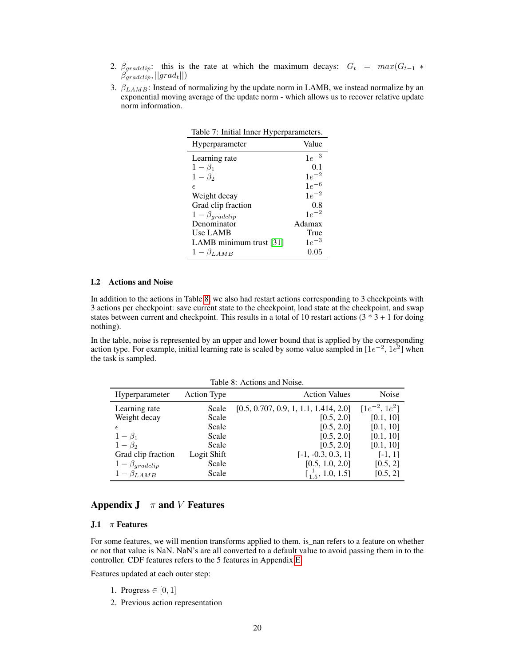- 2.  $\beta_{\text{gradclip}}$ : this is the rate at which the maximum decays:  $G_t = \max(G_{t-1} *$  $\beta_{gradient}$ ,  $||grad_t||)$
- <span id="page-19-1"></span>3.  $\beta_{LAMB}$ : Instead of normalizing by the update norm in LAMB, we instead normalize by an exponential moving average of the update norm - which allows us to recover relative update norm information.

| Table 7: Initial Inner Hyperparameters. |           |  |  |
|-----------------------------------------|-----------|--|--|
| Hyperparameter                          | Value     |  |  |
| Learning rate                           | $1e^{-3}$ |  |  |
| $1-\beta_1$                             | 0.1       |  |  |
| $1-\beta_2$                             | $1e^{-2}$ |  |  |
| €                                       | $1e^{-6}$ |  |  |
| Weight decay                            | $1e^{-2}$ |  |  |
| Grad clip fraction                      | 0.8       |  |  |
| $1 - \beta_{gradclip}$                  | $1e^{-2}$ |  |  |
| Denominator                             | Adamax    |  |  |
| <b>Use LAMB</b>                         | True      |  |  |
| LAMB minimum trust [31]                 | $1e^{-3}$ |  |  |
| $1 - \beta_{LAMB}$                      | 0.05      |  |  |

#### I.2 Actions and Noise

In addition to the actions in Table [8,](#page-19-2) we also had restart actions corresponding to 3 checkpoints with 3 actions per checkpoint: save current state to the checkpoint, load state at the checkpoint, and swap states between current and checkpoint. This results in a total of 10 restart actions  $(3 * 3 + 1)$  for doing nothing).

In the table, noise is represented by an upper and lower bound that is applied by the corresponding action type. For example, initial learning rate is scaled by some value sampled in  $[1e^{-2}, 1e^{2}]$  when the task is sampled.

Table 8: Actions and Noise.

<span id="page-19-2"></span>

| Hyperparameter         | Action Type | <b>Action Values</b>                   | Noise               |  |  |
|------------------------|-------------|----------------------------------------|---------------------|--|--|
| Learning rate          | Scale       | [0.5, 0.707, 0.9, 1, 1.1, 1.414, 2.0]  | $[1e^{-2}, 1e^{2}]$ |  |  |
| Weight decay           | Scale       | [0.5, 2.0]                             | [0.1, 10]           |  |  |
| $\epsilon$             | Scale       | [0.5, 2.0]                             | [0.1, 10]           |  |  |
| $1-\beta_1$            | Scale       | [0.5, 2.0]                             | [0.1, 10]           |  |  |
| $1-\beta_2$            | Scale       | [0.5, 2.0]                             | [0.1, 10]           |  |  |
| Grad clip fraction     | Logit Shift | $[-1, -0.3, 0.3, 1]$                   | $[-1, 1]$           |  |  |
| $1 - \beta_{gradient}$ | Scale       | [0.5, 1.0, 2.0]                        | [0.5, 2]            |  |  |
| $1 - \beta_{LAMB}$     | Scale       | $\left[\frac{1}{1.5}, 1.0, 1.5\right]$ | [0.5, 2]            |  |  |

# <span id="page-19-0"></span>Appendix  $J \pi$  and V Features

#### J.1  $\pi$  Features

For some features, we will mention transforms applied to them. is\_nan refers to a feature on whether or not that value is NaN. NaN's are all converted to a default value to avoid passing them in to the controller. CDF features refers to the 5 features in Appendix [E.](#page-17-0)

Features updated at each outer step:

- 1. Progress  $\in [0, 1]$
- 2. Previous action representation